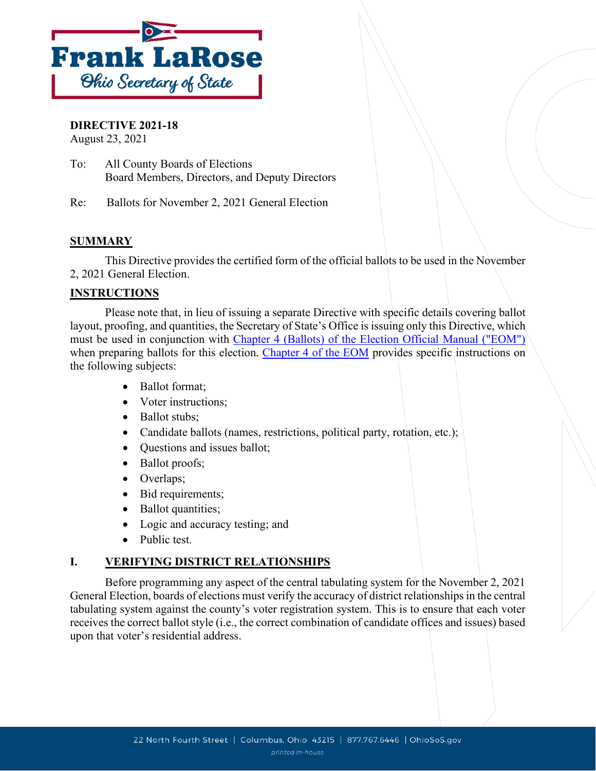

### **DIRECTIVE 2021-18**

August 23, 2021

To: All County Boards of Elections Board Members, Directors, and Deputy Directors

Re: Ballots for November 2, 2021 General Election

### **SUMMARY**

This Directive provides the certified form of the official ballots to be used in the November 2, 2021 General Election.

### **INSTRUCTIONS**

Please note that, in lieu of issuing a separate Directive with specific details covering ballot layout, proofing, and quantities, the Secretary of State's Office is issuing only this Directive, which must be used in conjunction with [Chapter 4 \(Ballots\) of the Election Official Manual \("EOM"\)](https://www.ohiosos.gov/globalassets/elections/directives/2021/dir2021-04-ch04.pdf) when preparing ballots for this election. [Chapter 4 of the EOM](https://www.ohiosos.gov/globalassets/elections/directives/2021/dir2021-04-ch04.pdf) provides specific instructions on the following subjects:

- Ballot format;
- Voter instructions;
- Ballot stubs;
- Candidate ballots (names, restrictions, political party, rotation, etc.);
- Questions and issues ballot;
- Ballot proofs;
- Overlaps;
- Bid requirements;
- Ballot quantities;
- Logic and accuracy testing; and
- Public test.

### **I. VERIFYING DISTRICT RELATIONSHIPS**

Before programming any aspect of the central tabulating system for the November 2, 2021 General Election, boards of elections must verify the accuracy of district relationships in the central tabulating system against the county's voter registration system. This is to ensure that each voter receives the correct ballot style (i.e., the correct combination of candidate offices and issues) based upon that voter's residential address.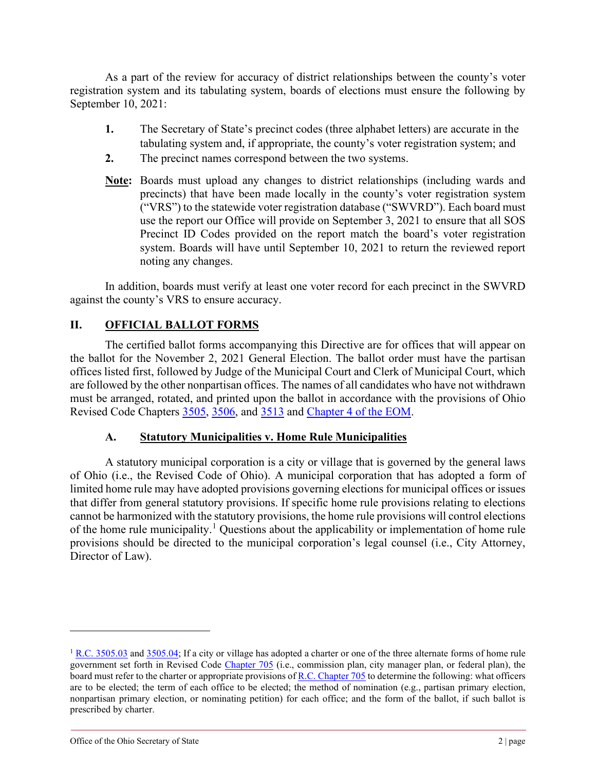As a part of the review for accuracy of district relationships between the county's voter registration system and its tabulating system, boards of elections must ensure the following by September 10, 2021:

- **1.** The Secretary of State's precinct codes (three alphabet letters) are accurate in the tabulating system and, if appropriate, the county's voter registration system; and
- **2.** The precinct names correspond between the two systems.
- **Note:** Boards must upload any changes to district relationships (including wards and precincts) that have been made locally in the county's voter registration system ("VRS") to the statewide voter registration database ("SWVRD"). Each board must use the report our Office will provide on September 3, 2021 to ensure that all SOS Precinct ID Codes provided on the report match the board's voter registration system. Boards will have until September 10, 2021 to return the reviewed report noting any changes.

In addition, boards must verify at least one voter record for each precinct in the SWVRD against the county's VRS to ensure accuracy.

# **II. OFFICIAL BALLOT FORMS**

The certified ballot forms accompanying this Directive are for offices that will appear on the ballot for the November 2, 2021 General Election. The ballot order must have the partisan offices listed first, followed by Judge of the Municipal Court and Clerk of Municipal Court, which are followed by the other nonpartisan offices. The names of all candidates who have not withdrawn must be arranged, rotated, and printed upon the ballot in accordance with the provisions of Ohio Revised Code Chapters [3505,](https://codes.ohio.gov/ohio-revised-code/chapter-3505) [3506,](https://codes.ohio.gov/ohio-revised-code/chapter-3506) and [3513](https://codes.ohio.gov/ohio-revised-code/chapter-3513) and [Chapter 4 of the EOM.](https://www.ohiosos.gov/globalassets/elections/directives/2021/dir2021-04-ch04.pdf)

### **A. Statutory Municipalities v. Home Rule Municipalities**

A statutory municipal corporation is a city or village that is governed by the general laws of Ohio (i.e., the Revised Code of Ohio). A municipal corporation that has adopted a form of limited home rule may have adopted provisions governing elections for municipal offices or issues that differ from general statutory provisions. If specific home rule provisions relating to elections cannot be harmonized with the statutory provisions, the home rule provisions will control elections of the home rule municipality.[1](#page-1-0) Questions about the applicability or implementation of home rule provisions should be directed to the municipal corporation's legal counsel (i.e., City Attorney, Director of Law).

<span id="page-1-0"></span><sup>&</sup>lt;sup>1</sup> [R.C. 3505.03](https://codes.ohio.gov/ohio-revised-code/section-3505.03) an[d 3505.04;](https://codes.ohio.gov/ohio-revised-code/section-3505.04) If a city or village has adopted a charter or one of the three alternate forms of home rule government set forth in Revised Code [Chapter 705](https://codes.ohio.gov/ohio-revised-code/chapter-705) (i.e., commission plan, city manager plan, or federal plan), the board must refer to the charter or appropriate provisions o[f R.C. Chapter 705](https://codes.ohio.gov/ohio-revised-code/chapter-705) to determine the following: what officers are to be elected; the term of each office to be elected; the method of nomination (e.g., partisan primary election, nonpartisan primary election, or nominating petition) for each office; and the form of the ballot, if such ballot is prescribed by charter.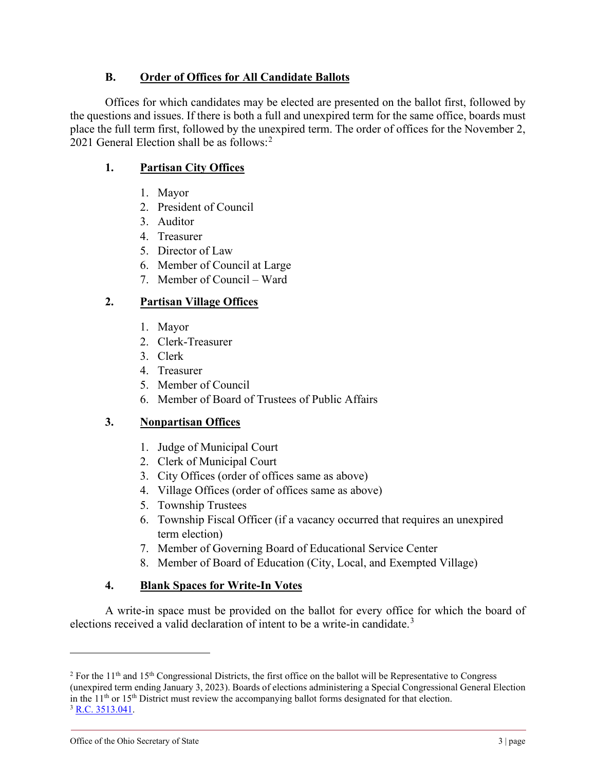### **B. Order of Offices for All Candidate Ballots**

Offices for which candidates may be elected are presented on the ballot first, followed by the questions and issues. If there is both a full and unexpired term for the same office, boards must place the full term first, followed by the unexpired term. The order of offices for the November 2, [2](#page-2-0)021 General Election shall be as follows:<sup>2</sup>

## **1. Partisan City Offices**

- 1. Mayor
- 2. President of Council
- 3. Auditor
- 4. Treasurer
- 5. Director of Law
- 6. Member of Council at Large
- 7. Member of Council Ward

# **2. Partisan Village Offices**

- 1. Mayor
- 2. Clerk-Treasurer
- 3. Clerk
- 4. Treasurer
- 5. Member of Council
- 6. Member of Board of Trustees of Public Affairs

## **3. Nonpartisan Offices**

- 1. Judge of Municipal Court
- 2. Clerk of Municipal Court
- 3. City Offices (order of offices same as above)
- 4. Village Offices (order of offices same as above)
- 5. Township Trustees
- 6. Township Fiscal Officer (if a vacancy occurred that requires an unexpired term election)
- 7. Member of Governing Board of Educational Service Center
- 8. Member of Board of Education (City, Local, and Exempted Village)

## **4. Blank Spaces for Write-In Votes**

A write-in space must be provided on the ballot for every office for which the board of elections received a valid declaration of intent to be a write-in candidate.<sup>[3](#page-2-1)</sup>

<span id="page-2-1"></span><span id="page-2-0"></span><sup>&</sup>lt;sup>2</sup> For the  $11<sup>th</sup>$  and  $15<sup>th</sup>$  Congressional Districts, the first office on the ballot will be Representative to Congress (unexpired term ending January 3, 2023). Boards of elections administering a Special Congressional General Election in the  $11<sup>th</sup>$  or  $15<sup>th</sup>$  District must review the accompanying ballot forms designated for that election. <sup>3</sup> [R.C. 3513.041.](http://codes.ohio.gov/orc/3513.041)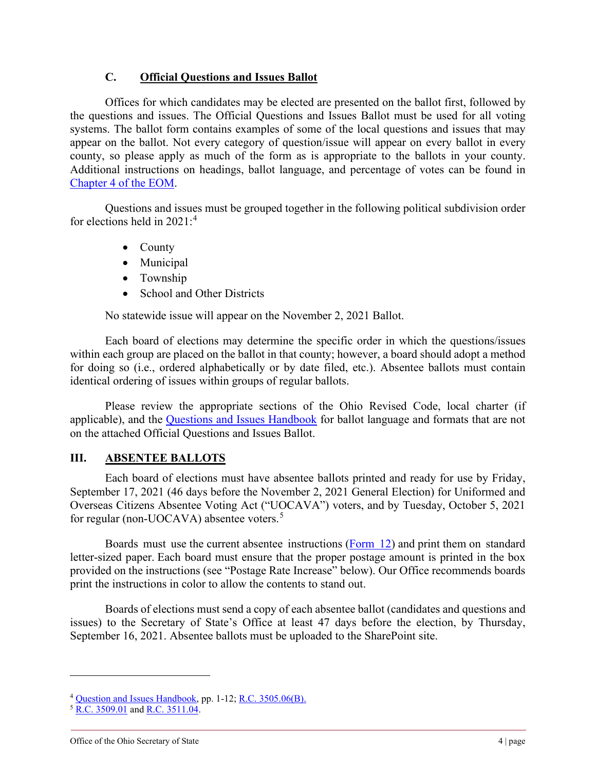#### **C. Official Questions and Issues Ballot**

Offices for which candidates may be elected are presented on the ballot first, followed by the questions and issues. The Official Questions and Issues Ballot must be used for all voting systems. The ballot form contains examples of some of the local questions and issues that may appear on the ballot. Not every category of question/issue will appear on every ballot in every county, so please apply as much of the form as is appropriate to the ballots in your county. Additional instructions on headings, ballot language, and percentage of votes can be found in [Chapter 4 of the EOM.](https://www.ohiosos.gov/globalassets/elections/directives/2021/dir2021-04-ch04.pdf)

Questions and issues must be grouped together in the following political subdivision order for elections held in 2021: [4](#page-3-0)

- County
- Municipal
- Township
- School and Other Districts

No statewide issue will appear on the November 2, 2021 Ballot.

Each board of elections may determine the specific order in which the questions/issues within each group are placed on the ballot in that county; however, a board should adopt a method for doing so (i.e., ordered alphabetically or by date filed, etc.). Absentee ballots must contain identical ordering of issues within groups of regular ballots.

Please review the appropriate sections of the Ohio Revised Code, local charter (if applicable), and the [Questions and Issues Handbook](https://www.sos.state.oh.us/globalassets/elections/eoresources/general/questionsandissues.pdf) for ballot language and formats that are not on the attached Official Questions and Issues Ballot.

### **III. ABSENTEE BALLOTS**

Each board of elections must have absentee ballots printed and ready for use by Friday, September 17, 2021 (46 days before the November 2, 2021 General Election) for Uniformed and Overseas Citizens Absentee Voting Act ("UOCAVA") voters, and by Tuesday, October 5, 2021 for regular (non-UOCAVA) absentee voters.<sup>[5](#page-3-1)</sup>

Boards must use the current absentee instructions [\(Form 12\)](https://www.sos.state.oh.us/globalassets/elections/forms/12.pdf) and print them on standard letter-sized paper. Each board must ensure that the proper postage amount is printed in the box provided on the instructions (see "Postage Rate Increase" below). Our Office recommends boards print the instructions in color to allow the contents to stand out.

Boards of elections must send a copy of each absentee ballot (candidates and questions and issues) to the Secretary of State's Office at least 47 days before the election, by Thursday, September 16, 2021. Absentee ballots must be uploaded to the SharePoint site.

<span id="page-3-0"></span><sup>4</sup> [Question and Issues Handbook,](https://www.ohiosos.gov/globalassets/elections/eoresources/general/questionsandissues.pdf) pp. 1-12[; R.C. 3505.06\(B\).](http://codes.ohio.gov/orc/3505.06)

<span id="page-3-1"></span><sup>&</sup>lt;sup>5</sup> [R.C. 3509.01](http://codes.ohio.gov/orc/3509.01) an[d R.C. 3511.04.](http://codes.ohio.gov/orc/3511.04)